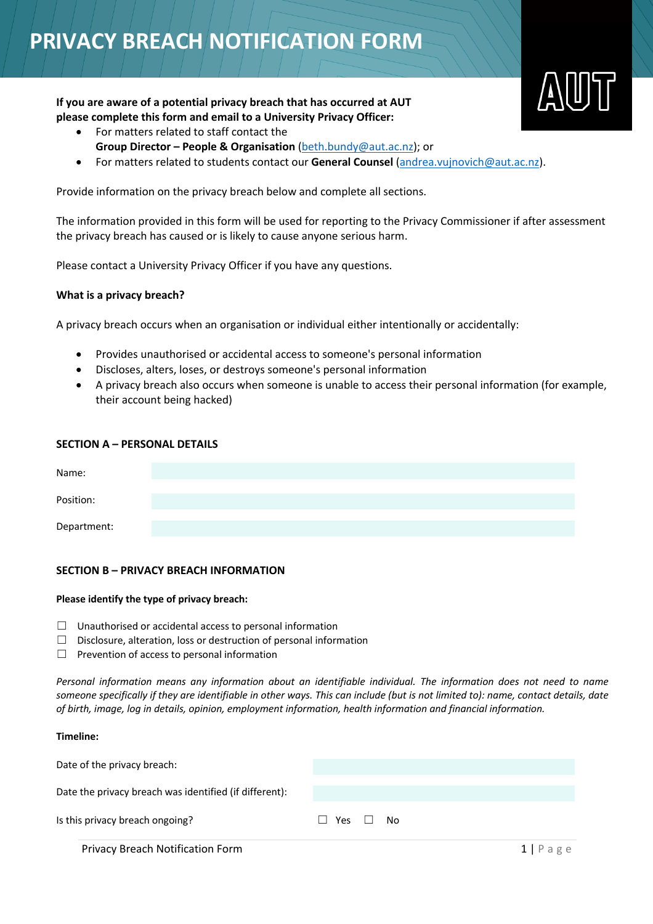# **PRIVACY BREACH NOTIFICATION FORM**

# **If you are aware of a potential privacy breach that has occurred at AUT please complete this form and email to a University Privacy Officer:**

- For matters related to staff contact the
	- **Group Director – People & Organisation** (beth.bundy@aut.ac.nz); or
- For matters related to students contact our **General Counsel** (andrea.vujnovich@aut.ac.nz).

Provide information on the privacy breach below and complete all sections.

The information provided in this form will be used for reporting to the Privacy Commissioner if after assessment the privacy breach has caused or is likely to cause anyone serious harm.

Please contact a University Privacy Officer if you have any questions.

### **What is a privacy breach?**

A privacy breach occurs when an organisation or individual either intentionally or accidentally:

- Provides unauthorised or accidental access to someone's personal information
- Discloses, alters, loses, or destroys someone's personal information
- A privacy breach also occurs when someone is unable to access their personal information (for example, their account being hacked)

## **SECTION A – PERSONAL DETAILS**

| Name:       |  |  |  |
|-------------|--|--|--|
| Position:   |  |  |  |
| Department: |  |  |  |

## **SECTION B – PRIVACY BREACH INFORMATION**

### **Please identify the type of privacy breach:**

- $\Box$  Unauthorised or accidental access to personal information
- $\Box$  Disclosure, alteration, loss or destruction of personal information
- $\Box$  Prevention of access to personal information

*Personal information means any information about an identifiable individual. The information does not need to name someone specifically if they are identifiable in other ways. This can include (but is not limited to): name, contact details, date of birth, image, log in details, opinion, employment information, health information and financial information.*

| Timeline:                                              |                     |  |
|--------------------------------------------------------|---------------------|--|
| Date of the privacy breach:                            |                     |  |
| Date the privacy breach was identified (if different): |                     |  |
| Is this privacy breach ongoing?                        | Yes □ No<br>$\perp$ |  |
|                                                        |                     |  |

**Privacy Breach Notification Form 1 | Page 1 | Page 1 | Page 1 | Page 2 | Page 2 | Page 2 | Page 2 | Page 2 | Page 2 | Page 2 | Page 2 | Page 2 | Page 2 | Page 2 | Page 2 | Page 2 | Page 2 | Page 2 | Page 2 | Page 2 | Page**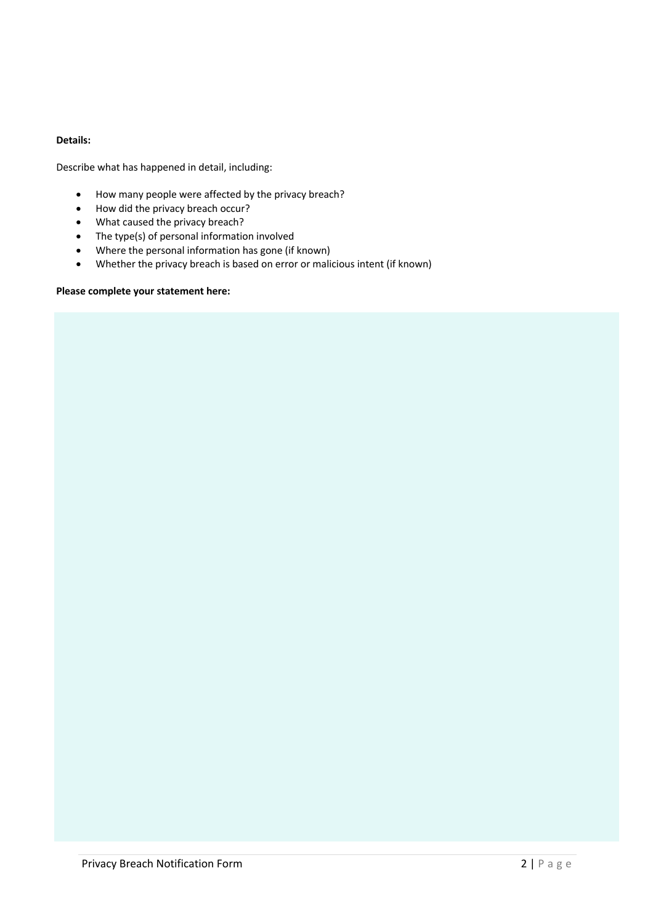## **Details:**

Describe what has happened in detail, including:

- How many people were affected by the privacy breach?
- How did the privacy breach occur?
- What caused the privacy breach?
- The type(s) of personal information involved
- Where the personal information has gone (if known)
- Whether the privacy breach is based on error or malicious intent (if known)

## **Please complete your statement here:**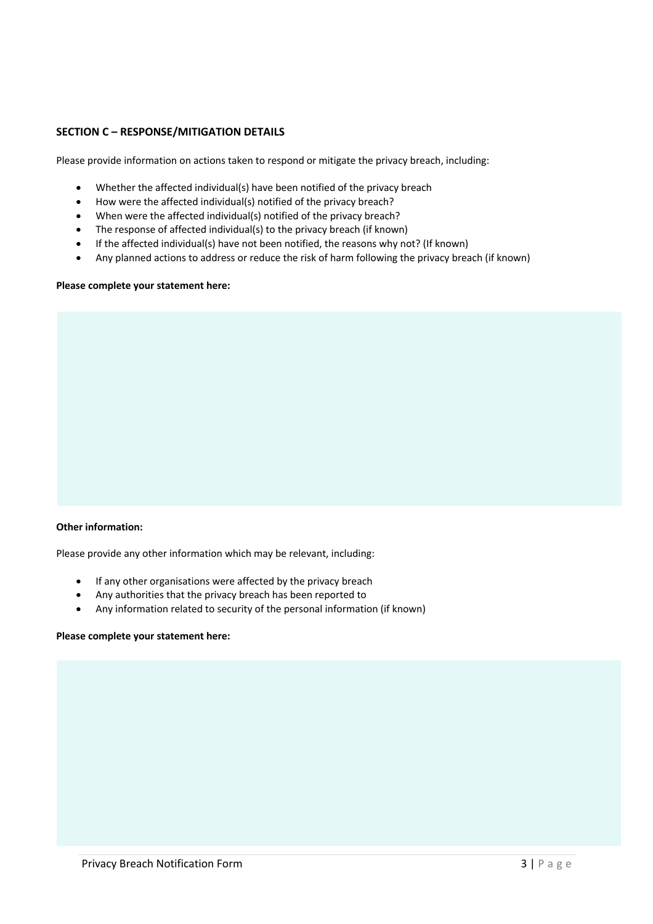# **SECTION C – RESPONSE/MITIGATION DETAILS**

Please provide information on actions taken to respond or mitigate the privacy breach, including:

- Whether the affected individual(s) have been notified of the privacy breach
- How were the affected individual(s) notified of the privacy breach?
- When were the affected individual(s) notified of the privacy breach?
- The response of affected individual(s) to the privacy breach (if known)
- If the affected individual(s) have not been notified, the reasons why not? (If known)
- Any planned actions to address or reduce the risk of harm following the privacy breach (if known)

### **Please complete your statement here:**

### **Other information:**

Please provide any other information which may be relevant, including:

- If any other organisations were affected by the privacy breach
- Any authorities that the privacy breach has been reported to
- Any information related to security of the personal information (if known)

#### **Please complete your statement here:**